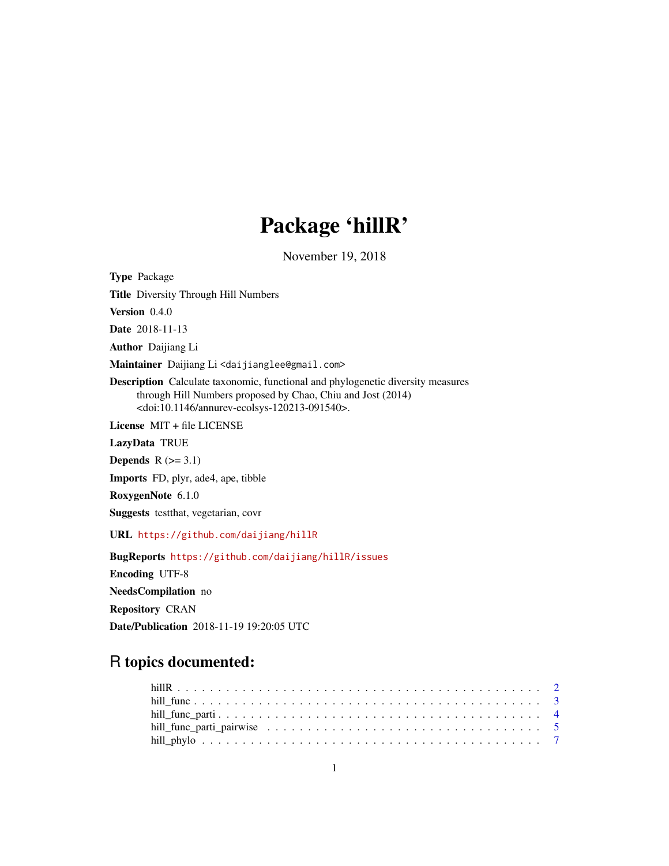# Package 'hillR'

November 19, 2018

Type Package Title Diversity Through Hill Numbers Version 0.4.0 Date 2018-11-13 Author Daijiang Li Maintainer Daijiang Li <daijianglee@gmail.com> Description Calculate taxonomic, functional and phylogenetic diversity measures through Hill Numbers proposed by Chao, Chiu and Jost (2014) <doi:10.1146/annurev-ecolsys-120213-091540>. License MIT + file LICENSE LazyData TRUE Depends  $R$  ( $>= 3.1$ ) Imports FD, plyr, ade4, ape, tibble RoxygenNote 6.1.0 Suggests testthat, vegetarian, covr URL <https://github.com/daijiang/hillR> BugReports <https://github.com/daijiang/hillR/issues> Encoding UTF-8 NeedsCompilation no Repository CRAN

Date/Publication 2018-11-19 19:20:05 UTC

# R topics documented: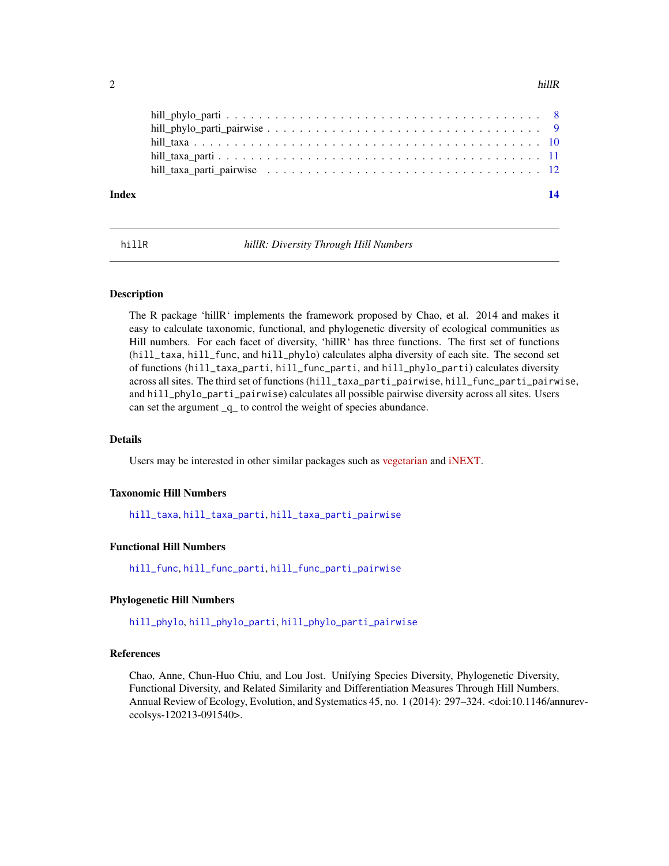# <span id="page-1-0"></span> $2 \t\t\t hillR$

| Index | 14 |
|-------|----|
|       |    |
|       |    |
|       |    |
|       |    |

hillR *hillR: Diversity Through Hill Numbers*

# Description

The R package 'hillR' implements the framework proposed by Chao, et al. 2014 and makes it easy to calculate taxonomic, functional, and phylogenetic diversity of ecological communities as Hill numbers. For each facet of diversity, 'hillR' has three functions. The first set of functions (hill\_taxa, hill\_func, and hill\_phylo) calculates alpha diversity of each site. The second set of functions (hill\_taxa\_parti, hill\_func\_parti, and hill\_phylo\_parti) calculates diversity across all sites. The third set of functions (hill\_taxa\_parti\_pairwise, hill\_func\_parti\_pairwise, and hill\_phylo\_parti\_pairwise) calculates all possible pairwise diversity across all sites. Users can set the argument \_q\_ to control the weight of species abundance.

# Details

Users may be interested in other similar packages such as [vegetarian](https://CRAN.R-project.org/package=vegetarian) and [iNEXT.](https://CRAN.R-project.org/package=iNEXT)

# Taxonomic Hill Numbers

[hill\\_taxa](#page-9-1), [hill\\_taxa\\_parti](#page-10-1), [hill\\_taxa\\_parti\\_pairwise](#page-11-1)

# Functional Hill Numbers

[hill\\_func](#page-2-1), [hill\\_func\\_parti](#page-3-1), [hill\\_func\\_parti\\_pairwise](#page-4-1)

#### Phylogenetic Hill Numbers

[hill\\_phylo](#page-6-1), [hill\\_phylo\\_parti](#page-7-1), [hill\\_phylo\\_parti\\_pairwise](#page-8-1)

# References

Chao, Anne, Chun-Huo Chiu, and Lou Jost. Unifying Species Diversity, Phylogenetic Diversity, Functional Diversity, and Related Similarity and Differentiation Measures Through Hill Numbers. Annual Review of Ecology, Evolution, and Systematics 45, no. 1 (2014): 297–324. <doi:10.1146/annurevecolsys-120213-091540>.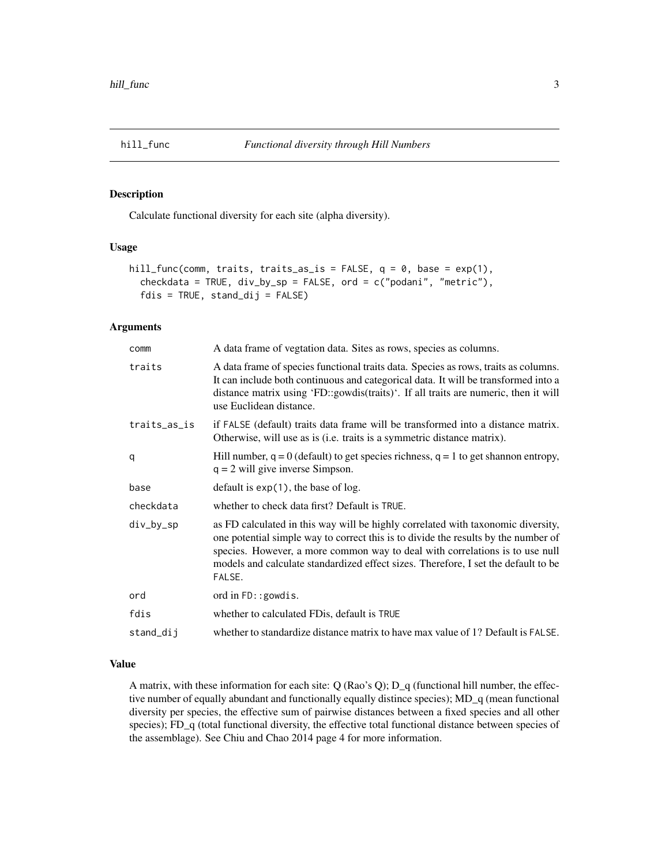<span id="page-2-1"></span><span id="page-2-0"></span>

# Description

Calculate functional diversity for each site (alpha diversity).

# Usage

```
hill_func(comm, traits, traits_as_is = FALSE, q = 0, base = exp(1),
  checkdata = TRUE, div_by_sp = FALSE, ord = c("podani", "metric"),
  fdis = TRUE, stand_dij = FALSE)
```
# Arguments

| comm         | A data frame of vegtation data. Sites as rows, species as columns.                                                                                                                                                                                                                                                                                     |
|--------------|--------------------------------------------------------------------------------------------------------------------------------------------------------------------------------------------------------------------------------------------------------------------------------------------------------------------------------------------------------|
| traits       | A data frame of species functional traits data. Species as rows, traits as columns.<br>It can include both continuous and categorical data. It will be transformed into a<br>distance matrix using 'FD::gowdis(traits)'. If all traits are numeric, then it will<br>use Euclidean distance.                                                            |
| traits_as_is | if FALSE (default) traits data frame will be transformed into a distance matrix.<br>Otherwise, will use as is (i.e. traits is a symmetric distance matrix).                                                                                                                                                                                            |
| q            | Hill number, $q = 0$ (default) to get species richness, $q = 1$ to get shannon entropy,<br>$q = 2$ will give inverse Simpson.                                                                                                                                                                                                                          |
| base         | default is $exp(1)$ , the base of log.                                                                                                                                                                                                                                                                                                                 |
| checkdata    | whether to check data first? Default is TRUE.                                                                                                                                                                                                                                                                                                          |
| div_by_sp    | as FD calculated in this way will be highly correlated with taxonomic diversity,<br>one potential simple way to correct this is to divide the results by the number of<br>species. However, a more common way to deal with correlations is to use null<br>models and calculate standardized effect sizes. Therefore, I set the default to be<br>FALSE. |
| ord          | ord in $FD$ : : gowdis.                                                                                                                                                                                                                                                                                                                                |
| fdis         | whether to calculated FDis, default is TRUE                                                                                                                                                                                                                                                                                                            |
| stand_dij    | whether to standardize distance matrix to have max value of 1? Default is FALSE.                                                                                                                                                                                                                                                                       |

# Value

A matrix, with these information for each site: Q (Rao's Q); D\_q (functional hill number, the effective number of equally abundant and functionally equally distince species); MD\_q (mean functional diversity per species, the effective sum of pairwise distances between a fixed species and all other species); FD\_q (total functional diversity, the effective total functional distance between species of the assemblage). See Chiu and Chao 2014 page 4 for more information.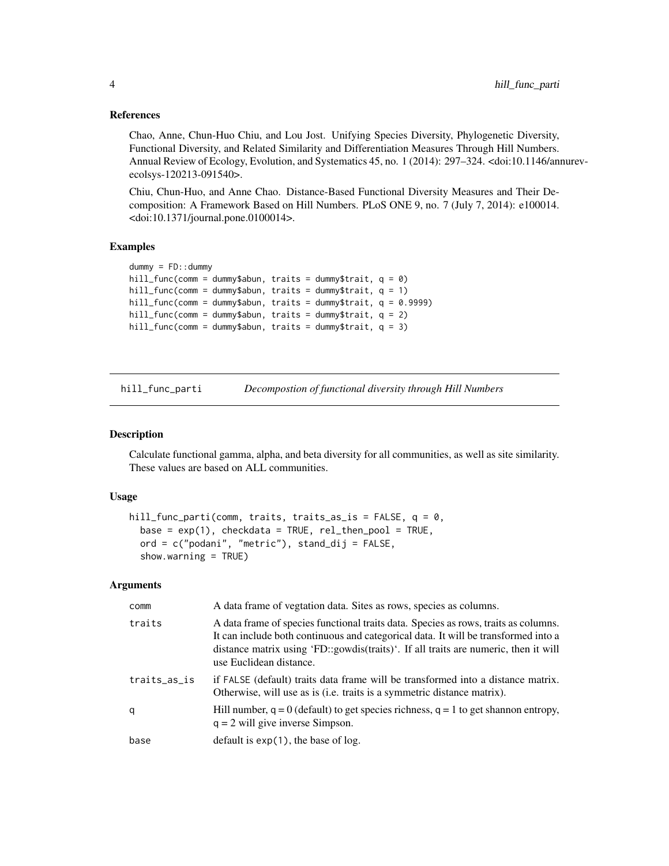# References

Chao, Anne, Chun-Huo Chiu, and Lou Jost. Unifying Species Diversity, Phylogenetic Diversity, Functional Diversity, and Related Similarity and Differentiation Measures Through Hill Numbers. Annual Review of Ecology, Evolution, and Systematics 45, no. 1 (2014): 297–324. <doi:10.1146/annurevecolsys-120213-091540>.

Chiu, Chun-Huo, and Anne Chao. Distance-Based Functional Diversity Measures and Their Decomposition: A Framework Based on Hill Numbers. PLoS ONE 9, no. 7 (July 7, 2014): e100014. <doi:10.1371/journal.pone.0100014>.

# Examples

```
dummy = FD::dummy
hill_func(comm = dummy$abun, traits = dummy$trait, q = 0)
hill_func(comm = dummy$abun, traits = dummy$trait, q = 1)
hill_func(comm = dummy$abun, traits = dummy$trait, q = 0.9999)
hill_func(comm = dummy$abun, traits = dummy$trait, q = 2)
hill_func(comm = dummy$abun, traits = dummy$trait, q = 3)
```
<span id="page-3-1"></span>hill\_func\_parti *Decompostion of functional diversity through Hill Numbers*

#### **Description**

Calculate functional gamma, alpha, and beta diversity for all communities, as well as site similarity. These values are based on ALL communities.

# Usage

```
hill_func_parti(comm, traits, traits_as_is = FALSE, q = 0,
  base = exp(1), checkdata = TRUE, rel_then_pool = TRUE,
  ord = c("podani", "metric"), stand_dij = FALSE,
  show.warning = TRUE)
```
#### Arguments

| comm         | A data frame of vegtation data. Sites as rows, species as columns.                                                                                                                                                                                                                          |
|--------------|---------------------------------------------------------------------------------------------------------------------------------------------------------------------------------------------------------------------------------------------------------------------------------------------|
| traits       | A data frame of species functional traits data. Species as rows, traits as columns.<br>It can include both continuous and categorical data. It will be transformed into a<br>distance matrix using 'FD::gowdis(traits)'. If all traits are numeric, then it will<br>use Euclidean distance. |
| traits_as_is | if FALSE (default) traits data frame will be transformed into a distance matrix.<br>Otherwise, will use as is ( <i>i.e.</i> traits is a symmetric distance matrix).                                                                                                                         |
| q            | Hill number, $q = 0$ (default) to get species richness, $q = 1$ to get shannon entropy,<br>$q = 2$ will give inverse Simpson.                                                                                                                                                               |
| base         | default is $exp(1)$ , the base of log.                                                                                                                                                                                                                                                      |

<span id="page-3-0"></span>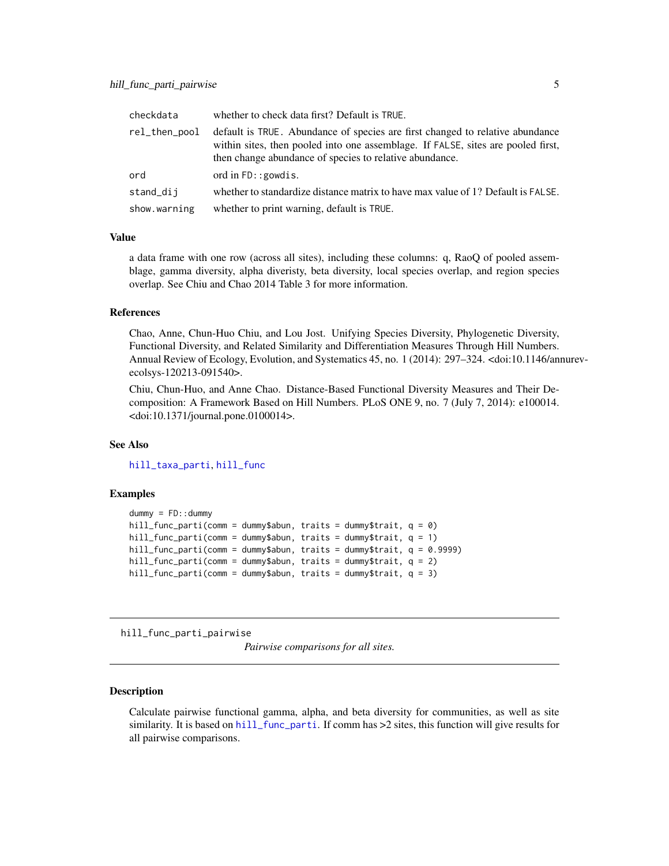<span id="page-4-0"></span>

| checkdata     | whether to check data first? Default is TRUE.                                                                                                                                                                                |
|---------------|------------------------------------------------------------------------------------------------------------------------------------------------------------------------------------------------------------------------------|
| rel_then_pool | default is TRUE. Abundance of species are first changed to relative abundance<br>within sites, then pooled into one assemblage. If FALSE, sites are pooled first,<br>then change abundance of species to relative abundance. |
| ord           | ord in $FD$ : : gowdis.                                                                                                                                                                                                      |
| stand_dij     | whether to standardize distance matrix to have max value of 1? Default is FALSE.                                                                                                                                             |
| show.warning  | whether to print warning, default is TRUE.                                                                                                                                                                                   |

# Value

a data frame with one row (across all sites), including these columns: q, RaoQ of pooled assemblage, gamma diversity, alpha diveristy, beta diversity, local species overlap, and region species overlap. See Chiu and Chao 2014 Table 3 for more information.

# References

Chao, Anne, Chun-Huo Chiu, and Lou Jost. Unifying Species Diversity, Phylogenetic Diversity, Functional Diversity, and Related Similarity and Differentiation Measures Through Hill Numbers. Annual Review of Ecology, Evolution, and Systematics 45, no. 1 (2014): 297–324. <doi:10.1146/annurevecolsys-120213-091540>.

Chiu, Chun-Huo, and Anne Chao. Distance-Based Functional Diversity Measures and Their Decomposition: A Framework Based on Hill Numbers. PLoS ONE 9, no. 7 (July 7, 2014): e100014. <doi:10.1371/journal.pone.0100014>.

# See Also

[hill\\_taxa\\_parti](#page-10-1), [hill\\_func](#page-2-1)

# Examples

```
dummy = FD::dummy
hill_func_parti(comm = dummy$abun, traits = dummy$trait, q = 0)
hill_func_parti(comm = dummy$abun, traits = dummy$trait, q = 1)
hill_func_parti(comm = dummy$abun, traits = dummy$trait, q = 0.9999)
hill_func_parti(comm = dummy$abun, traits = dummy$trait, q = 2)
hill_func_parti(comm = dummy$abun, traits = dummy$trait, q = 3)
```
<span id="page-4-1"></span>hill\_func\_parti\_pairwise

*Pairwise comparisons for all sites.*

#### Description

Calculate pairwise functional gamma, alpha, and beta diversity for communities, as well as site similarity. It is based on [hill\\_func\\_parti](#page-3-1). If comm has >2 sites, this function will give results for all pairwise comparisons.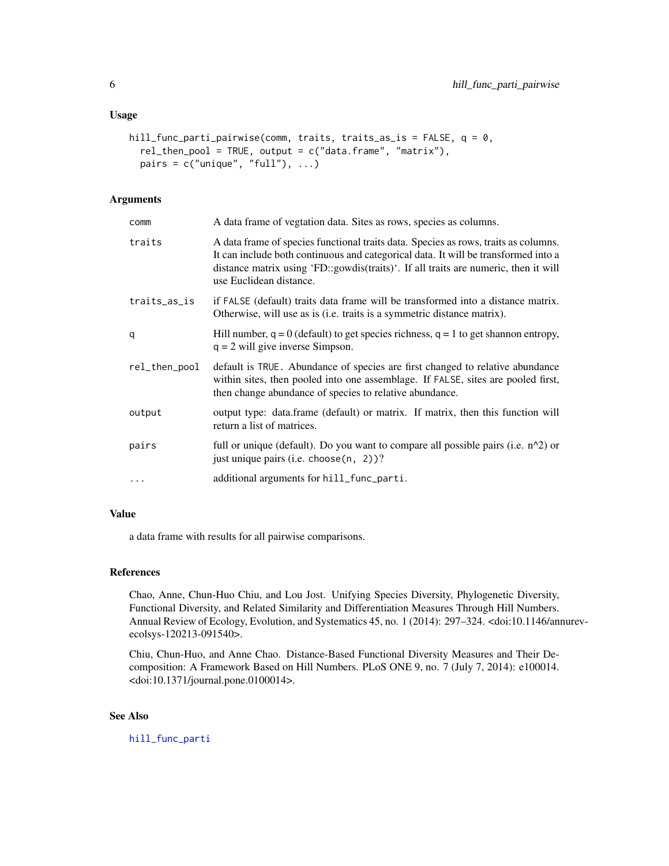# <span id="page-5-0"></span>Usage

```
hill_func_parti_pairwise(comm, traits, traits_as_is = FALSE, q = 0,
  rel_then_pool = TRUE, output = c("data.frame", "matrix"),
 pairs = c("unique", "full"), ...)
```
# Arguments

| comm          | A data frame of vegtation data. Sites as rows, species as columns.                                                                                                                                                                                                                          |
|---------------|---------------------------------------------------------------------------------------------------------------------------------------------------------------------------------------------------------------------------------------------------------------------------------------------|
| traits        | A data frame of species functional traits data. Species as rows, traits as columns.<br>It can include both continuous and categorical data. It will be transformed into a<br>distance matrix using 'FD::gowdis(traits)'. If all traits are numeric, then it will<br>use Euclidean distance. |
| traits_as_is  | if FALSE (default) traits data frame will be transformed into a distance matrix.<br>Otherwise, will use as is (i.e. traits is a symmetric distance matrix).                                                                                                                                 |
| q             | Hill number, $q = 0$ (default) to get species richness, $q = 1$ to get shannon entropy,<br>$q = 2$ will give inverse Simpson.                                                                                                                                                               |
| rel_then_pool | default is TRUE. Abundance of species are first changed to relative abundance<br>within sites, then pooled into one assemblage. If FALSE, sites are pooled first,<br>then change abundance of species to relative abundance.                                                                |
| output        | output type: data.frame (default) or matrix. If matrix, then this function will<br>return a list of matrices.                                                                                                                                                                               |
| pairs         | full or unique (default). Do you want to compare all possible pairs (i.e. $n^2$ ) or<br>just unique pairs (i.e. choose (n, 2))?                                                                                                                                                             |
| $\ddots$ .    | additional arguments for hill_func_parti.                                                                                                                                                                                                                                                   |

#### Value

a data frame with results for all pairwise comparisons.

# References

Chao, Anne, Chun-Huo Chiu, and Lou Jost. Unifying Species Diversity, Phylogenetic Diversity, Functional Diversity, and Related Similarity and Differentiation Measures Through Hill Numbers. Annual Review of Ecology, Evolution, and Systematics 45, no. 1 (2014): 297–324. <doi:10.1146/annurevecolsys-120213-091540>.

Chiu, Chun-Huo, and Anne Chao. Distance-Based Functional Diversity Measures and Their Decomposition: A Framework Based on Hill Numbers. PLoS ONE 9, no. 7 (July 7, 2014): e100014. <doi:10.1371/journal.pone.0100014>.

# See Also

[hill\\_func\\_parti](#page-3-1)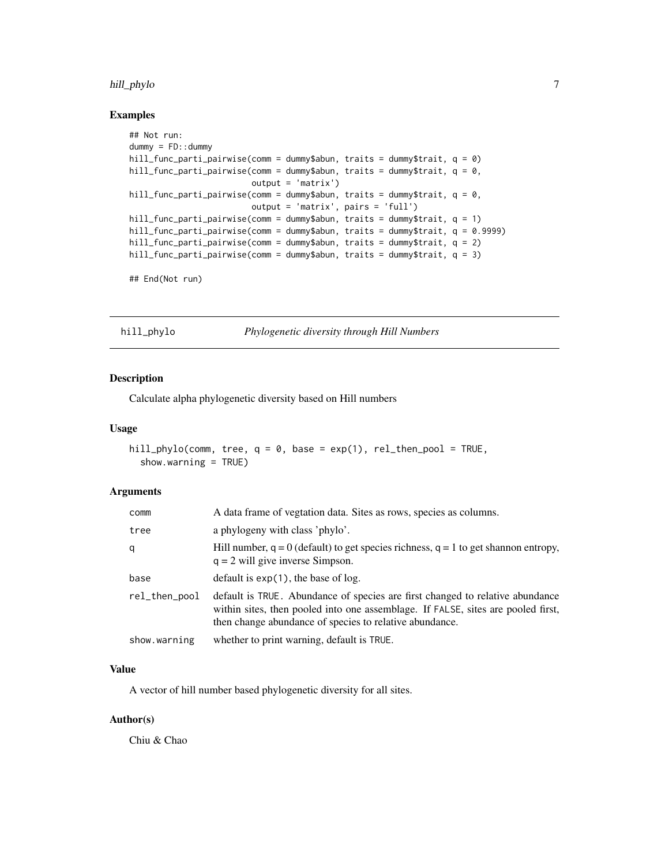# <span id="page-6-0"></span>hill\_phylo 7

# Examples

```
## Not run:
dummy = FD::dummy
hill_func_parti_pairwise(comm = dummy$abun, traits = dummy$trait, q = 0)
hill_func_parti_pairwise(comm = dummy$abun, traits = dummy$trait, q = 0,
                        output = 'matrix')
hill_func_parti_pairwise(comm = dummy$abun, traits = dummy$trait, q = 0,
                        output = 'matrix', pairs = 'full')
hill_func_parti_pairwise(comm = dummy$abun, traits = dummy$trait, q = 1)
hill_func_parti_pairwise(comm = dummy$abun, traits = dummy$trait, q = 0.9999)
hill_func_parti_pairwise(comm = dummy$abun, traits = dummy$trait, q = 2)
hill_func_parti_pairwise(comm = dummy$abun, traits = dummy$trait, q = 3)
```
## End(Not run)

<span id="page-6-1"></span>hill\_phylo *Phylogenetic diversity through Hill Numbers*

# Description

Calculate alpha phylogenetic diversity based on Hill numbers

# Usage

```
hill_phylo(comm, tree, q = 0, base = exp(1), rel_then_pool = TRUE,
  show.warning = TRUE)
```
# Arguments

| comm          | A data frame of vegtation data. Sites as rows, species as columns.                                                                                                                                                           |
|---------------|------------------------------------------------------------------------------------------------------------------------------------------------------------------------------------------------------------------------------|
| tree          | a phylogeny with class 'phylo'.                                                                                                                                                                                              |
| q             | Hill number, $q = 0$ (default) to get species richness, $q = 1$ to get shannon entropy,<br>$q = 2$ will give inverse Simpson.                                                                                                |
| base          | default is $exp(1)$ , the base of $log$ .                                                                                                                                                                                    |
| rel_then_pool | default is TRUE. Abundance of species are first changed to relative abundance<br>within sites, then pooled into one assemblage. If FALSE, sites are pooled first,<br>then change abundance of species to relative abundance. |
| show.warning  | whether to print warning, default is TRUE.                                                                                                                                                                                   |

#### Value

A vector of hill number based phylogenetic diversity for all sites.

# Author(s)

Chiu & Chao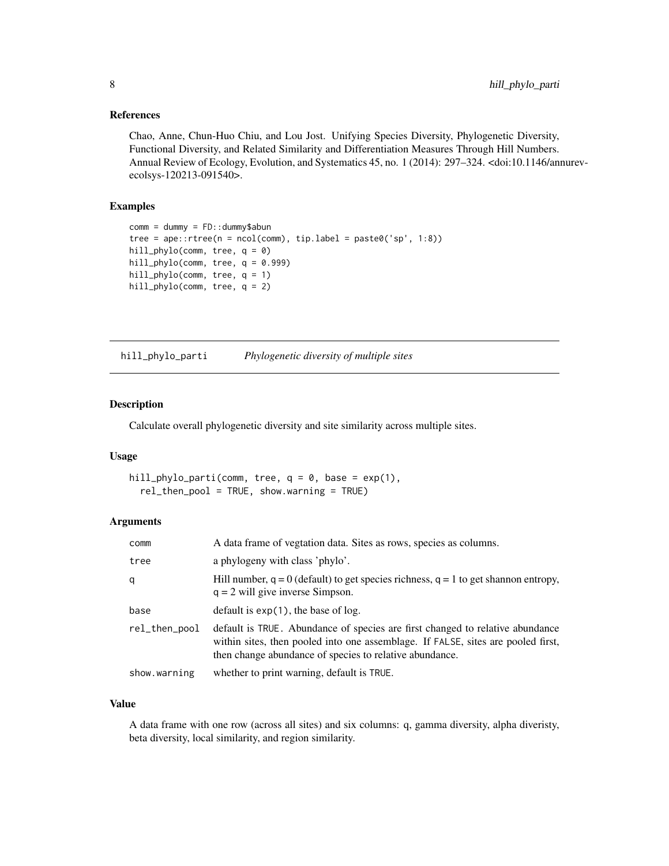# <span id="page-7-0"></span>References

Chao, Anne, Chun-Huo Chiu, and Lou Jost. Unifying Species Diversity, Phylogenetic Diversity, Functional Diversity, and Related Similarity and Differentiation Measures Through Hill Numbers. Annual Review of Ecology, Evolution, and Systematics 45, no. 1 (2014): 297–324. <doi:10.1146/annurevecolsys-120213-091540>.

# Examples

```
comm = dummy = FD::dummy$abun
tree = ape::rtree(n = ncol(comm), tip-label = paste@('sp', 1:8))hill_phylo(comm, tree, q = 0)
hill_phylo(comm, tree, q = 0.999)
hill_phylo(comm, tree, q = 1)
hill_phylo(comm, tree, q = 2)
```
<span id="page-7-1"></span>hill\_phylo\_parti *Phylogenetic diversity of multiple sites*

# Description

Calculate overall phylogenetic diversity and site similarity across multiple sites.

# Usage

```
hill_phylo_parti(comm, tree, q = 0, base = exp(1),
  rel_then_pool = TRUE, show.warning = TRUE)
```
# Arguments

| comm          | A data frame of vegtation data. Sites as rows, species as columns.                                                                                                                                                           |
|---------------|------------------------------------------------------------------------------------------------------------------------------------------------------------------------------------------------------------------------------|
| tree          | a phylogeny with class 'phylo'.                                                                                                                                                                                              |
| q             | Hill number, $q = 0$ (default) to get species richness, $q = 1$ to get shannon entropy,<br>$q = 2$ will give inverse Simpson.                                                                                                |
| base          | default is $exp(1)$ , the base of $log$ .                                                                                                                                                                                    |
| rel_then_pool | default is TRUE. Abundance of species are first changed to relative abundance<br>within sites, then pooled into one assemblage. If FALSE, sites are pooled first,<br>then change abundance of species to relative abundance. |
| show.warning  | whether to print warning, default is TRUE.                                                                                                                                                                                   |

# Value

A data frame with one row (across all sites) and six columns: q, gamma diversity, alpha diveristy, beta diversity, local similarity, and region similarity.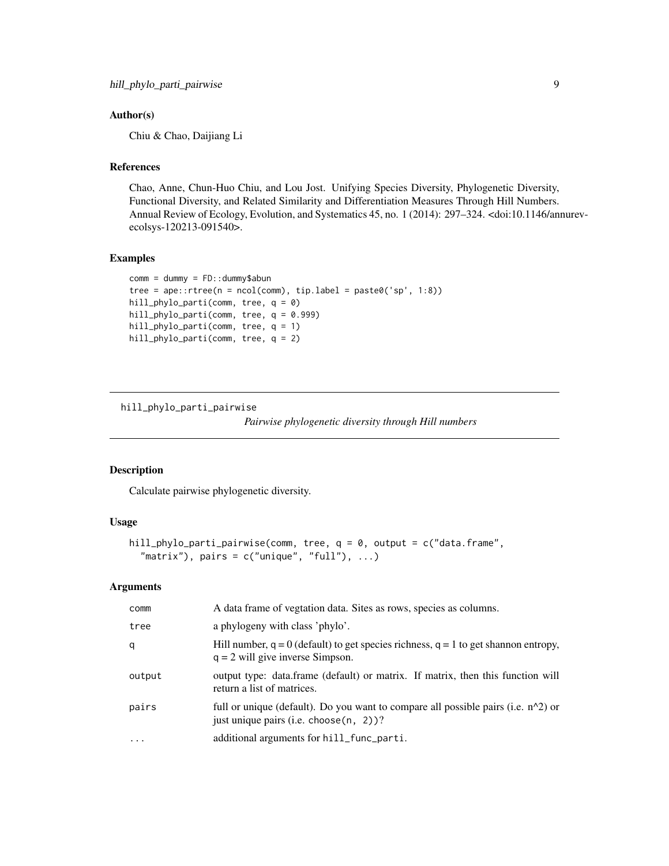# <span id="page-8-0"></span>Author(s)

Chiu & Chao, Daijiang Li

# References

Chao, Anne, Chun-Huo Chiu, and Lou Jost. Unifying Species Diversity, Phylogenetic Diversity, Functional Diversity, and Related Similarity and Differentiation Measures Through Hill Numbers. Annual Review of Ecology, Evolution, and Systematics 45, no. 1 (2014): 297–324. <doi:10.1146/annurevecolsys-120213-091540>.

# Examples

```
comm = dummy = FD::dummy$abun
tree = ape::rtree(n = ncol(comm), tip-label = paste0('sp', 1:8))hill_phylo_parti(comm, tree, q = 0)
hill_phylo_parti(comm, tree, q = 0.999)
hill_phylo_parti(comm, tree, q = 1)
hill_phylo_parti(comm, tree, q = 2)
```
<span id="page-8-1"></span>hill\_phylo\_parti\_pairwise

*Pairwise phylogenetic diversity through Hill numbers*

# Description

Calculate pairwise phylogenetic diversity.

### Usage

```
hill_phylo_parti_pairwise(comm, tree, q = 0, output = c("data.frame",
  "matrix"), pairs = c("unique", "full"), ...)
```
# Arguments

| comm      | A data frame of vegtation data. Sites as rows, species as columns.                                                                 |
|-----------|------------------------------------------------------------------------------------------------------------------------------------|
| tree      | a phylogeny with class 'phylo'.                                                                                                    |
| q         | Hill number, $q = 0$ (default) to get species richness, $q = 1$ to get shannon entropy,<br>$q = 2$ will give inverse Simpson.      |
| output    | output type: data.frame (default) or matrix. If matrix, then this function will<br>return a list of matrices.                      |
| pairs     | full or unique (default). Do you want to compare all possible pairs (i.e. $n^2$ ) or<br>just unique pairs (i.e. choose $(n, 2)$ )? |
| $\ddotsc$ | additional arguments for hill_func_parti.                                                                                          |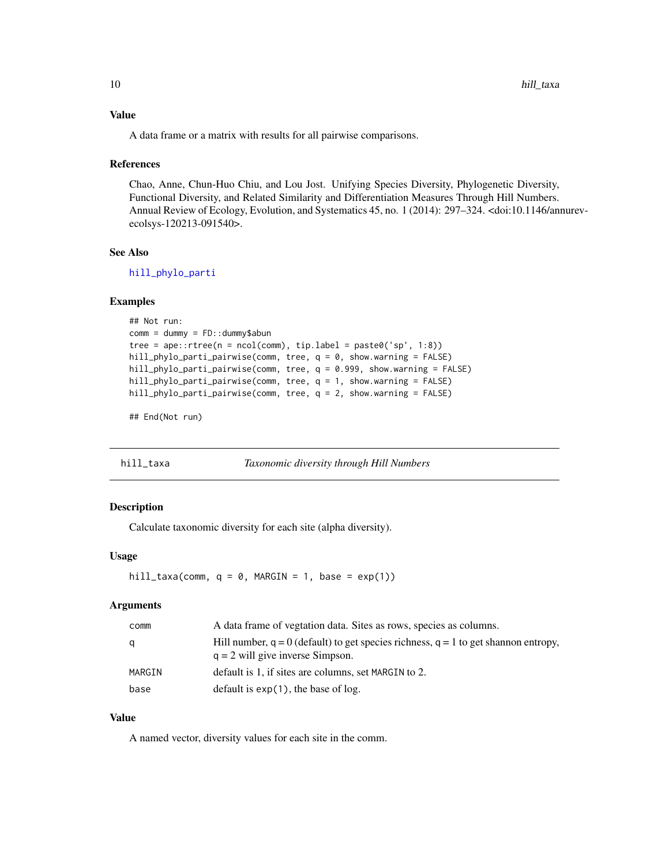# <span id="page-9-0"></span>Value

A data frame or a matrix with results for all pairwise comparisons.

## References

Chao, Anne, Chun-Huo Chiu, and Lou Jost. Unifying Species Diversity, Phylogenetic Diversity, Functional Diversity, and Related Similarity and Differentiation Measures Through Hill Numbers. Annual Review of Ecology, Evolution, and Systematics 45, no. 1 (2014): 297–324. <doi:10.1146/annurevecolsys-120213-091540>.

# See Also

[hill\\_phylo\\_parti](#page-7-1)

#### Examples

```
## Not run:
comm = dummy = FD:: dummy$abun
tree = ape::rtree(n = ncol(comm), tip-label = paste0('sp', 1:8))hill_phylo_parti_pairwise(comm, tree, q = 0, show.warning = FALSE)
hill_phylo_parti_pairwise(comm, tree, q = 0.999, show.warning = FALSE)
hill_phylo_parti_pairwise(comm, tree, q = 1, show.warning = FALSE)
hill_phylo_parti_pairwise(comm, tree, q = 2, show.warning = FALSE)
```
## End(Not run)

<span id="page-9-1"></span>hill\_taxa *Taxonomic diversity through Hill Numbers*

#### Description

Calculate taxonomic diversity for each site (alpha diversity).

# Usage

```
hill_taxa(comm, q = 0, MARGIN = 1, base = exp(1))
```
# Arguments

| comm   | A data frame of vegtation data. Sites as rows, species as columns.                                                            |
|--------|-------------------------------------------------------------------------------------------------------------------------------|
| q      | Hill number, $q = 0$ (default) to get species richness, $q = 1$ to get shannon entropy,<br>$q = 2$ will give inverse Simpson. |
| MARGIN | default is 1, if sites are columns, set MARGIN to 2.                                                                          |
| base   | default is $exp(1)$ , the base of log.                                                                                        |

# Value

A named vector, diversity values for each site in the comm.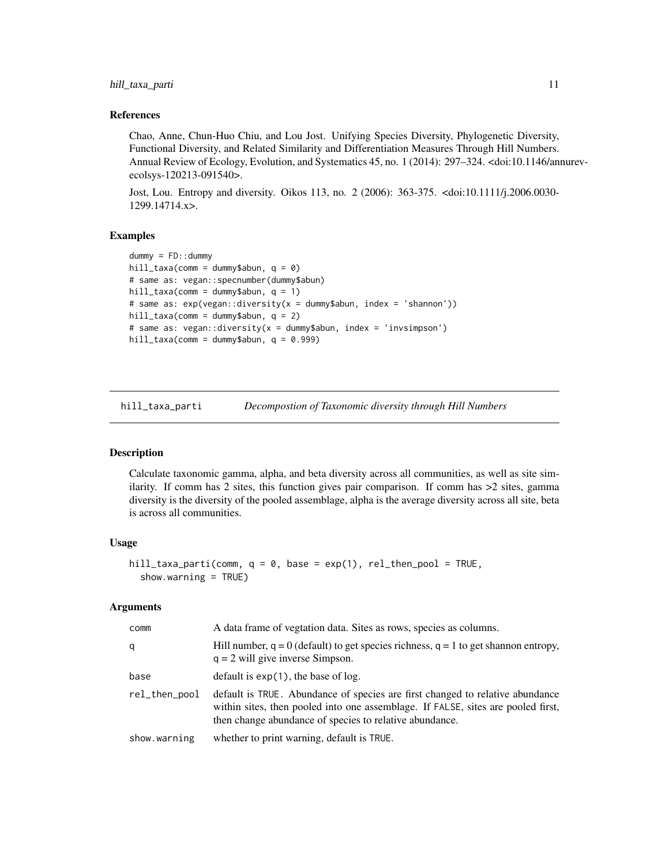# <span id="page-10-0"></span>hill\_taxa\_parti 11

# References

Chao, Anne, Chun-Huo Chiu, and Lou Jost. Unifying Species Diversity, Phylogenetic Diversity, Functional Diversity, and Related Similarity and Differentiation Measures Through Hill Numbers. Annual Review of Ecology, Evolution, and Systematics 45, no. 1 (2014): 297–324. <doi:10.1146/annurevecolsys-120213-091540>.

Jost, Lou. Entropy and diversity. Oikos 113, no. 2 (2006): 363-375. <doi:10.1111/j.2006.0030- 1299.14714.x>.

# Examples

```
dummy = FD::dummy
hill_taxa(comm = dummy$abun, q = 0)
# same as: vegan::specnumber(dummy$abun)
hill_taxa(comm = dummy$abun, q = 1)
# same as: exp(vegan::diversity(x = dummy$abun, index = 'shannon'))
hill_taxa(comm = dummy$abun, q = 2)
# same as: vegan::diversity(x = dummy$abun, index = 'invsimpson')
hill_taxa(comm = dummy$abun, q = 0.999)
```
<span id="page-10-1"></span>hill\_taxa\_parti *Decompostion of Taxonomic diversity through Hill Numbers*

#### Description

Calculate taxonomic gamma, alpha, and beta diversity across all communities, as well as site similarity. If comm has 2 sites, this function gives pair comparison. If comm has  $>2$  sites, gamma diversity is the diversity of the pooled assemblage, alpha is the average diversity across all site, beta is across all communities.

#### Usage

```
hill_taxa_parti(comm, q = 0, base = exp(1), rel_then_pool = TRUE,
  show.warning = TRUE)
```
# Arguments

| comm          | A data frame of vegtation data. Sites as rows, species as columns.                                                                                                                                                           |
|---------------|------------------------------------------------------------------------------------------------------------------------------------------------------------------------------------------------------------------------------|
| q             | Hill number, $q = 0$ (default) to get species richness, $q = 1$ to get shannon entropy,<br>$q = 2$ will give inverse Simpson.                                                                                                |
| base          | default is $exp(1)$ , the base of log.                                                                                                                                                                                       |
| rel_then_pool | default is TRUE. Abundance of species are first changed to relative abundance<br>within sites, then pooled into one assemblage. If FALSE, sites are pooled first,<br>then change abundance of species to relative abundance. |
| show.warning  | whether to print warning, default is TRUE.                                                                                                                                                                                   |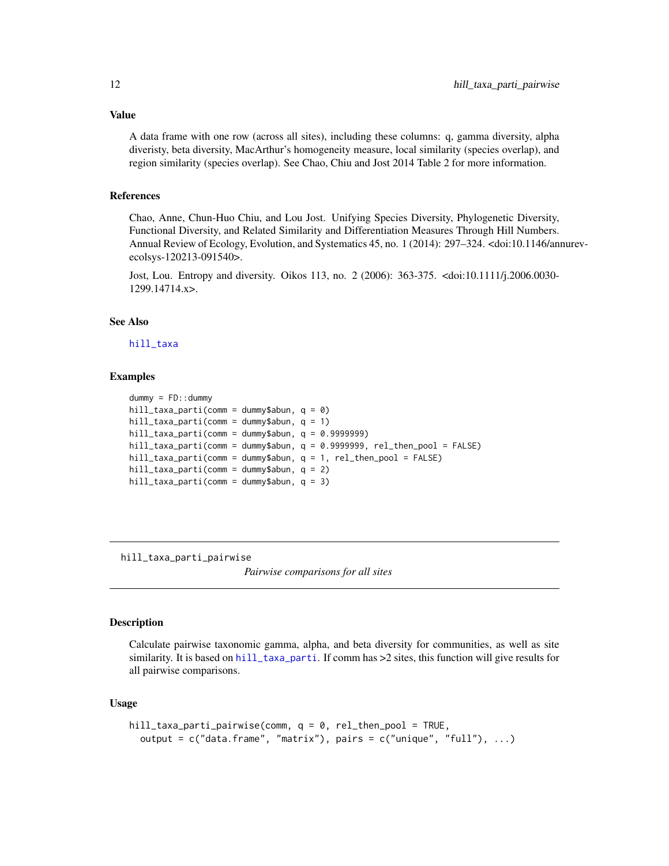Value

A data frame with one row (across all sites), including these columns: q, gamma diversity, alpha diveristy, beta diversity, MacArthur's homogeneity measure, local similarity (species overlap), and region similarity (species overlap). See Chao, Chiu and Jost 2014 Table 2 for more information.

#### References

Chao, Anne, Chun-Huo Chiu, and Lou Jost. Unifying Species Diversity, Phylogenetic Diversity, Functional Diversity, and Related Similarity and Differentiation Measures Through Hill Numbers. Annual Review of Ecology, Evolution, and Systematics 45, no. 1 (2014): 297–324. <doi:10.1146/annurevecolsys-120213-091540>.

Jost, Lou. Entropy and diversity. Oikos 113, no. 2 (2006): 363-375. <doi:10.1111/j.2006.0030- 1299.14714.x>.

# See Also

[hill\\_taxa](#page-9-1)

# Examples

```
dummy = FD:: dummy
hill_taxa_parti(comm = dummy$abun, q = 0)
hill_taxa_parti(comm = dummy$abun, q = 1)
hill_taxa_parti(comm = dummy$abun, q = 0.9999999)hill_taxa_parti(comm = dummy$abun, q = 0.9999999, rel_then_pool = FALSE)
hill_taxa_parti(comm = dummy$abun, q = 1, rel_then_pool = FALSE)
hill_taxa_parti(comm = dummy$abun, q = 2)
hill_taxa_parti(comm = dummy$abun, q = 3)
```
<span id="page-11-1"></span>hill\_taxa\_parti\_pairwise

*Pairwise comparisons for all sites*

#### Description

Calculate pairwise taxonomic gamma, alpha, and beta diversity for communities, as well as site similarity. It is based on [hill\\_taxa\\_parti](#page-10-1). If comm has >2 sites, this function will give results for all pairwise comparisons.

#### Usage

```
hill_taxa_parti_pairwise(comm, q = 0, rel_then_pool = TRUE,
  output = c("data-frame", "matrix"), pairs = c("unique", "full"), ...)
```
<span id="page-11-0"></span>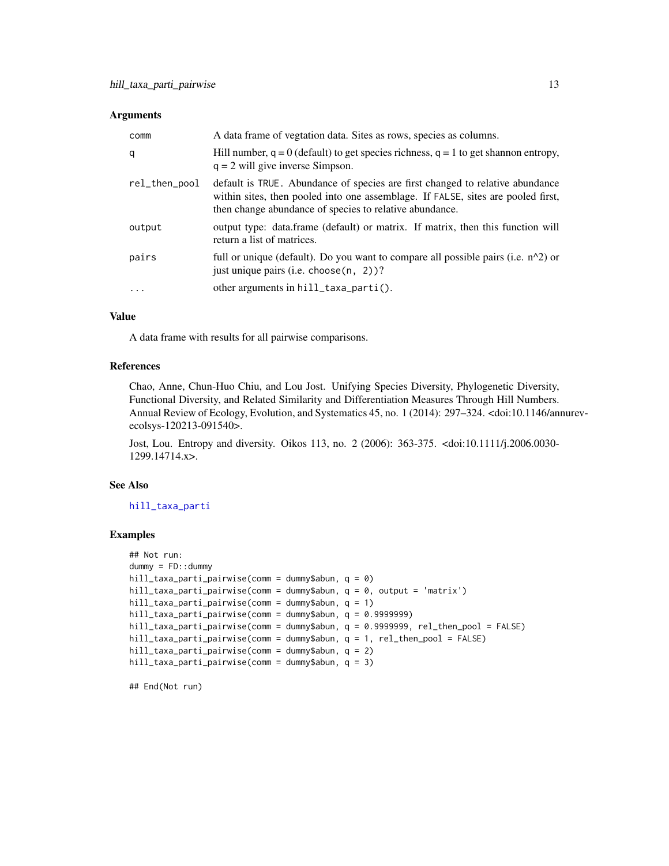#### <span id="page-12-0"></span>**Arguments**

| comm          | A data frame of vegtation data. Sites as rows, species as columns.                                                                                                                                                           |
|---------------|------------------------------------------------------------------------------------------------------------------------------------------------------------------------------------------------------------------------------|
| q             | Hill number, $q = 0$ (default) to get species richness, $q = 1$ to get shannon entropy,<br>$q = 2$ will give inverse Simpson.                                                                                                |
| rel_then_pool | default is TRUE. Abundance of species are first changed to relative abundance<br>within sites, then pooled into one assemblage. If FALSE, sites are pooled first,<br>then change abundance of species to relative abundance. |
| output        | output type: data.frame (default) or matrix. If matrix, then this function will<br>return a list of matrices.                                                                                                                |
| pairs         | full or unique (default). Do you want to compare all possible pairs (i.e. $n^2$ ) or<br>just unique pairs (i.e. choose $(n, 2)$ )?                                                                                           |
| $\ddotsc$     | other arguments in $hill\_taxa\_parti()$ .                                                                                                                                                                                   |

# Value

A data frame with results for all pairwise comparisons.

# References

Chao, Anne, Chun-Huo Chiu, and Lou Jost. Unifying Species Diversity, Phylogenetic Diversity, Functional Diversity, and Related Similarity and Differentiation Measures Through Hill Numbers. Annual Review of Ecology, Evolution, and Systematics 45, no. 1 (2014): 297–324. <doi:10.1146/annurevecolsys-120213-091540>.

Jost, Lou. Entropy and diversity. Oikos 113, no. 2 (2006): 363-375. <doi:10.1111/j.2006.0030- 1299.14714.x>.

# See Also

[hill\\_taxa\\_parti](#page-10-1)

# Examples

```
## Not run:
dummy = FD::dummy
hill_taxa_parti_pairwise(comm = dummy$abun, q = 0)
hill_taxa_parti_pairwise(comm = dummy$abun, q = 0, output = 'matrix')
hill_taxa_parti_pairwise(comm = dummy$abun, q = 1)
hill_taxa_parti_pairwise(comm = dummy$abun, q = 0.9999999)
hill_taxa_parti_pairwise(comm = dummy$abun, q = 0.9999999, rel_then_pool = FALSE)
hill_taxa_parti_pairwise(comm = dummy$abun, q = 1, rel_then_pool = FALSE)
hill_taxa_parti_pairwise(comm = dummy$abun, q = 2)
hill_taxa_parti_pairwise(comm = dummy$abun, q = 3)
```
## End(Not run)